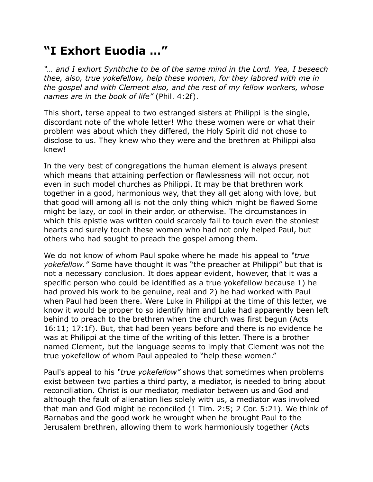## **"I Exhort Euodia …"**

*"… and I exhort Synthche to be of the same mind in the Lord. Yea, I beseech thee, also, true yokefellow, help these women, for they labored with me in the gospel and with Clement also, and the rest of my fellow workers, whose names are in the book of life"* (Phil. 4:2f).

This short, terse appeal to two estranged sisters at Philippi is the single, discordant note of the whole letter! Who these women were or what their problem was about which they differed, the Holy Spirit did not chose to disclose to us. They knew who they were and the brethren at Philippi also knew!

In the very best of congregations the human element is always present which means that attaining perfection or flawlessness will not occur, not even in such model churches as Philippi. It may be that brethren work together in a good, harmonious way, that they all get along with love, but that good will among all is not the only thing which might be flawed Some might be lazy, or cool in their ardor, or otherwise. The circumstances in which this epistle was written could scarcely fail to touch even the stoniest hearts and surely touch these women who had not only helped Paul, but others who had sought to preach the gospel among them.

We do not know of whom Paul spoke where he made his appeal to *"true yokefellow."* Some have thought it was "the preacher at Philippi" but that is not a necessary conclusion. It does appear evident, however, that it was a specific person who could be identified as a true yokefellow because 1) he had proved his work to be genuine, real and 2) he had worked with Paul when Paul had been there. Were Luke in Philippi at the time of this letter, we know it would be proper to so identify him and Luke had apparently been left behind to preach to the brethren when the church was first begun (Acts 16:11; 17:1f). But, that had been years before and there is no evidence he was at Philippi at the time of the writing of this letter. There is a brother named Clement, but the language seems to imply that Clement was not the true yokefellow of whom Paul appealed to "help these women."

Paul's appeal to his *"true yokefellow"* shows that sometimes when problems exist between two parties a third party, a mediator, is needed to bring about reconciliation. Christ is our mediator, mediator between us and God and although the fault of alienation lies solely with us, a mediator was involved that man and God might be reconciled (1 Tim. 2:5; 2 Cor. 5:21). We think of Barnabas and the good work he wrought when he brought Paul to the Jerusalem brethren, allowing them to work harmoniously together (Acts